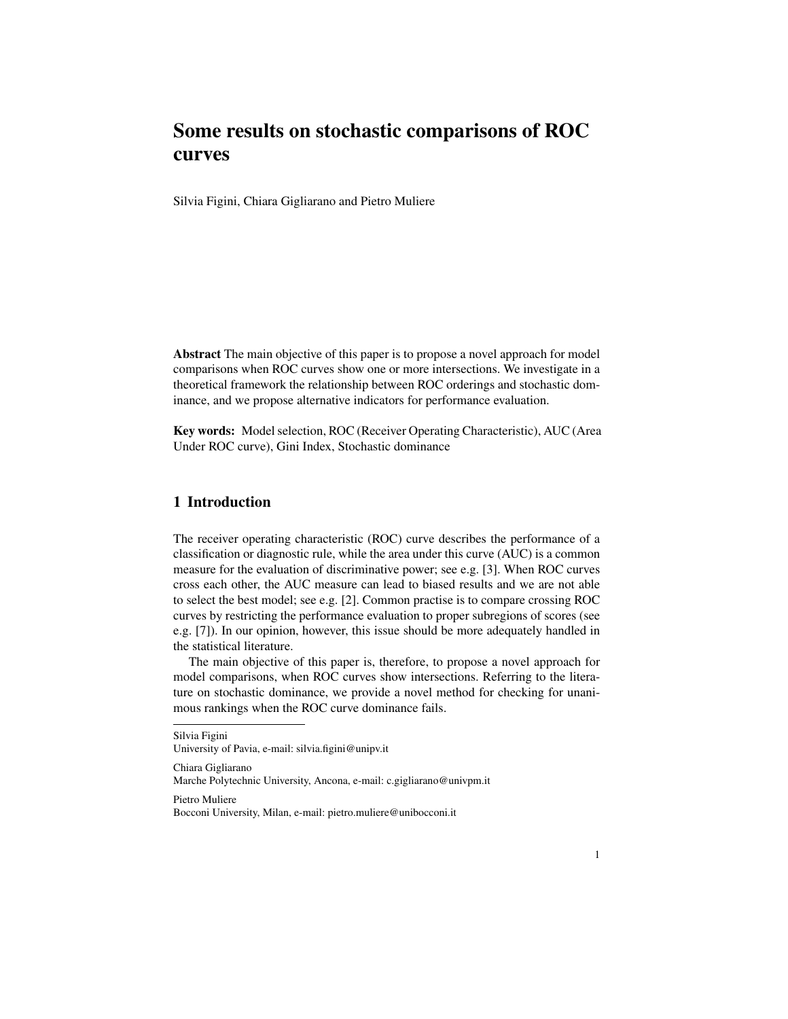# Some results on stochastic comparisons of ROC curves

Silvia Figini, Chiara Gigliarano and Pietro Muliere

Abstract The main objective of this paper is to propose a novel approach for model comparisons when ROC curves show one or more intersections. We investigate in a theoretical framework the relationship between ROC orderings and stochastic dominance, and we propose alternative indicators for performance evaluation.

Key words: Model selection, ROC (Receiver Operating Characteristic), AUC (Area Under ROC curve), Gini Index, Stochastic dominance

# 1 Introduction

The receiver operating characteristic (ROC) curve describes the performance of a classification or diagnostic rule, while the area under this curve (AUC) is a common measure for the evaluation of discriminative power; see e.g. [3]. When ROC curves cross each other, the AUC measure can lead to biased results and we are not able to select the best model; see e.g. [2]. Common practise is to compare crossing ROC curves by restricting the performance evaluation to proper subregions of scores (see e.g. [7]). In our opinion, however, this issue should be more adequately handled in the statistical literature.

The main objective of this paper is, therefore, to propose a novel approach for model comparisons, when ROC curves show intersections. Referring to the literature on stochastic dominance, we provide a novel method for checking for unanimous rankings when the ROC curve dominance fails.

Silvia Figini

Chiara Gigliarano

Marche Polytechnic University, Ancona, e-mail: c.gigliarano@univpm.it

Pietro Muliere Bocconi University, Milan, e-mail: pietro.muliere@unibocconi.it

University of Pavia, e-mail: silvia.figini@unipv.it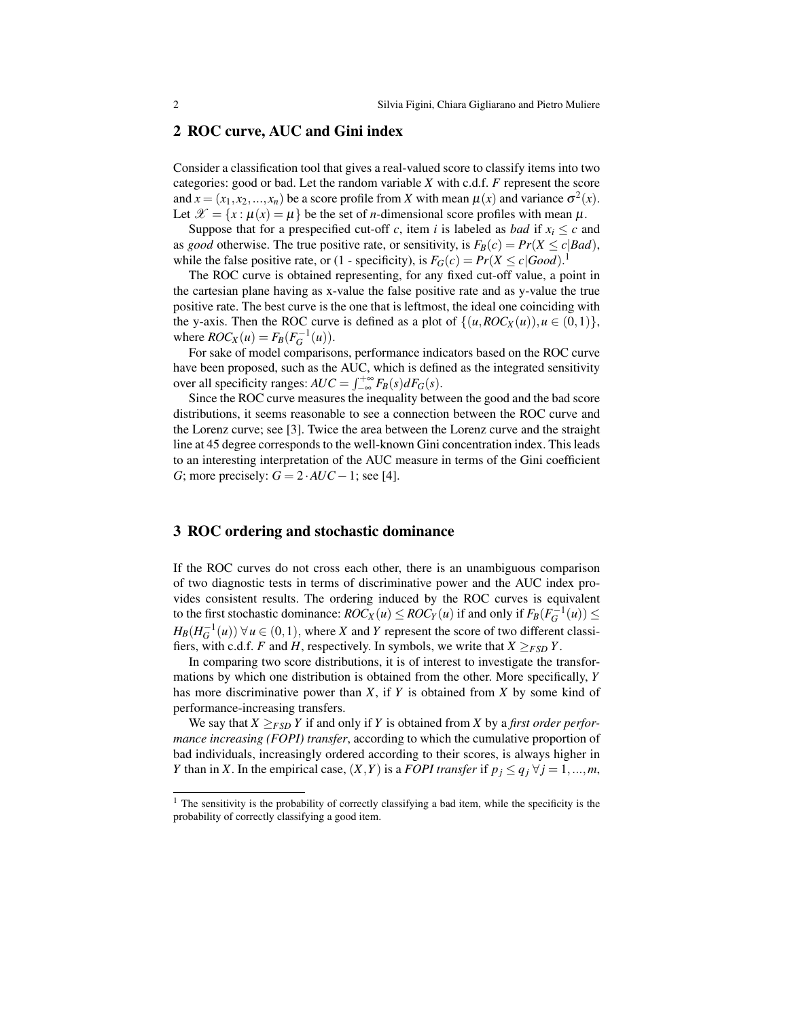#### 2 ROC curve, AUC and Gini index

Consider a classification tool that gives a real-valued score to classify items into two categories: good or bad. Let the random variable *X* with c.d.f. *F* represent the score and  $x = (x_1, x_2, ..., x_n)$  be a score profile from *X* with mean  $\mu(x)$  and variance  $\sigma^2(x)$ . Let  $\mathcal{X} = \{x : \mu(x) = \mu\}$  be the set of *n*-dimensional score profiles with mean  $\mu$ .

Suppose that for a prespecified cut-off *c*, item *i* is labeled as *bad* if  $x_i \leq c$  and as *good* otherwise. The true positive rate, or sensitivity, is  $F_B(c) = Pr(X \le c | Bad)$ , while the false positive rate, or (1 - specificity), is  $F_G(c) = Pr(X \le c | Good)$ .<sup>1</sup>

The ROC curve is obtained representing, for any fixed cut-off value, a point in the cartesian plane having as x-value the false positive rate and as y-value the true positive rate. The best curve is the one that is leftmost, the ideal one coinciding with the y-axis. Then the ROC curve is defined as a plot of  $\{(u, ROC_X(u)), u \in (0,1)\}\,$ where  $ROC_X(u) = F_B(F_G^{-1}(u))$ .

For sake of model comparisons, performance indicators based on the ROC curve have been proposed, such as the AUC, which is defined as the integrated sensitivity over all specificity ranges:  $AUC = \int_{-\infty}^{+\infty} F_B(s) dF_G(s)$ .

Since the ROC curve measures the inequality between the good and the bad score distributions, it seems reasonable to see a connection between the ROC curve and the Lorenz curve; see [3]. Twice the area between the Lorenz curve and the straight line at 45 degree corresponds to the well-known Gini concentration index. This leads to an interesting interpretation of the AUC measure in terms of the Gini coefficient *G*; more precisely:  $G = 2 \cdot AUC - 1$ ; see [4].

## 3 ROC ordering and stochastic dominance

If the ROC curves do not cross each other, there is an unambiguous comparison of two diagnostic tests in terms of discriminative power and the AUC index provides consistent results. The ordering induced by the ROC curves is equivalent to the first stochastic dominance:  $ROC_X(u) \leq ROC_Y(u)$  if and only if  $F_B(F_G^{-1}(u)) \leq$  $H_B(H_G^{-1}(u)) \,\forall u \in (0,1)$ , where *X* and *Y* represent the score of two different classifiers, with c.d.f. *F* and *H*, respectively. In symbols, we write that  $X \geq_{FSD} Y$ .

In comparing two score distributions, it is of interest to investigate the transformations by which one distribution is obtained from the other. More specifically, *Y* has more discriminative power than *X*, if *Y* is obtained from *X* by some kind of performance-increasing transfers.

We say that  $X >_{FSD} Y$  if and only if *Y* is obtained from *X* by a *first order performance increasing (FOPI) transfer*, according to which the cumulative proportion of bad individuals, increasingly ordered according to their scores, is always higher in *Y* than in *X*. In the empirical case,  $(X, Y)$  is a *FOPI transfer* if  $p_j \le q_j \ \forall j = 1, ..., m$ ,

<sup>&</sup>lt;sup>1</sup> The sensitivity is the probability of correctly classifying a bad item, while the specificity is the probability of correctly classifying a good item.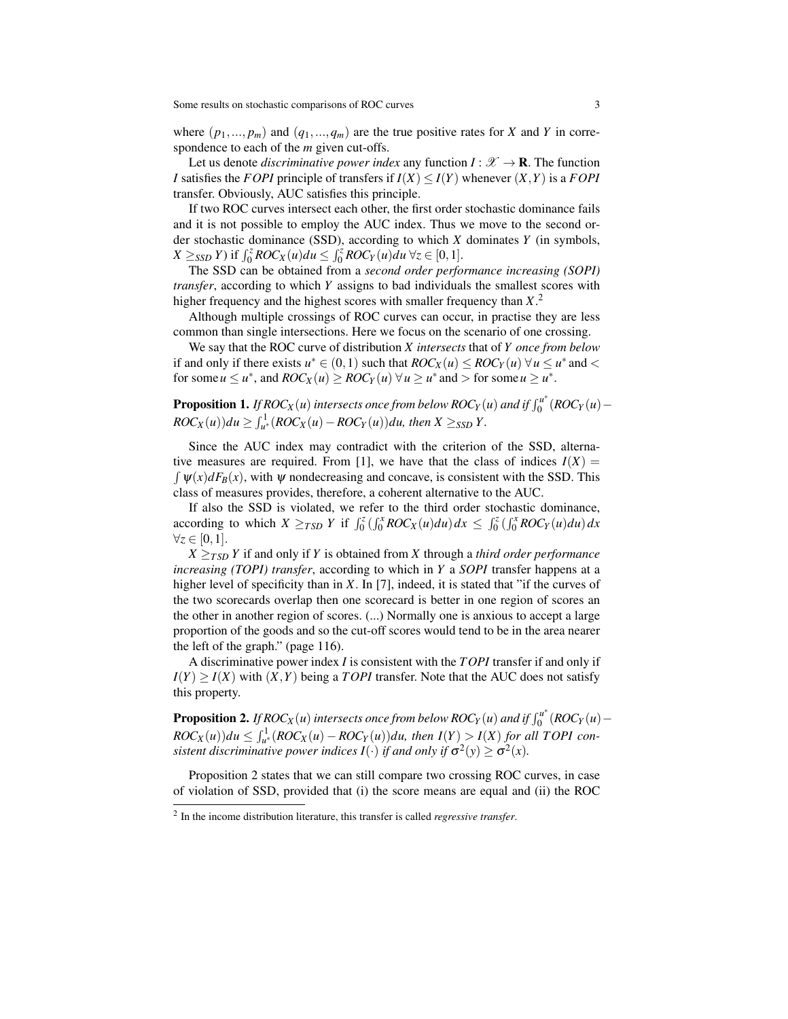where  $(p_1, ..., p_m)$  and  $(q_1, ..., q_m)$  are the true positive rates for *X* and *Y* in correspondence to each of the *m* given cut-offs.

Let us denote *discriminative power index* any function  $I: \mathscr{X} \to \mathbf{R}$ . The function *I* satisfies the *FOPI* principle of transfers if  $I(X) \leq I(Y)$  whenever  $(X, Y)$  is a *FOPI* transfer. Obviously, AUC satisfies this principle.

If two ROC curves intersect each other, the first order stochastic dominance fails and it is not possible to employ the AUC index. Thus we move to the second order stochastic dominance (SSD), according to which *X* dominates *Y* (in symbols,  $X \geq_{SSD} Y$ ) if  $\int_0^z ROC_X(u) du \leq \int_0^z ROC_Y(u) du \ \forall z \in [0,1].$ 

The SSD can be obtained from a *second order performance increasing (SOPI) transfer*, according to which *Y* assigns to bad individuals the smallest scores with higher frequency and the highest scores with smaller frequency than *X*. 2

Although multiple crossings of ROC curves can occur, in practise they are less common than single intersections. Here we focus on the scenario of one crossing.

We say that the ROC curve of distribution *X intersects* that of *Y once from below* if and only if there exists  $u^* \in (0,1)$  such that  $ROC_X(u) \leq ROC_Y(u) \ \forall u \leq u^*$  and < for some  $u \le u^*$ , and  $ROC_X(u) \ge ROC_Y(u) \,\forall u \ge u^*$  and  $>$  for some  $u \ge u^*$ .

**Proposition 1.** If ROC<sub>X</sub>  $(u)$  intersects once from below ROC<sub>Y</sub>  $(u)$  and if  $\int_0^{u^*}$  $\int_0^u$  (*ROC<sub>Y</sub>* (*u*) –  $ROC_X(u)$ ) $du \geq \int_{u^*}^1 (ROC_X(u) - ROC_Y(u))du$ , then  $X \geq_{SSD} Y$ .

Since the AUC index may contradict with the criterion of the SSD, alternative measures are required. From [1], we have that the class of indices  $I(X)$  =  $\int \psi(x) dF_B(x)$ , with  $\psi$  nondecreasing and concave, is consistent with the SSD. This class of measures provides, therefore, a coherent alternative to the AUC.

If also the SSD is violated, we refer to the third order stochastic dominance, according to which  $X \geq_{TSD} Y$  if  $\int_0^z \left( \int_0^x ROC_X(u) du \right) dx \leq \int_0^z \left( \int_0^x ROC_Y(u) du \right) dx$  $\forall z \in [0,1].$ 

 $X \geq_{TSD} Y$  if and only if *Y* is obtained from *X* through a *third order performance increasing (TOPI) transfer*, according to which in *Y* a *SOPI* transfer happens at a higher level of specificity than in *X*. In [7], indeed, it is stated that "if the curves of the two scorecards overlap then one scorecard is better in one region of scores an the other in another region of scores. (...) Normally one is anxious to accept a large proportion of the goods and so the cut-off scores would tend to be in the area nearer the left of the graph." (page 116).

A discriminative power index *I* is consistent with the *TOPI* transfer if and only if  $I(Y) \geq I(X)$  with  $(X, Y)$  being a *TOPI* transfer. Note that the AUC does not satisfy this property.

 ${\bf Proposition 2.}$  *If ROC<sub>X</sub>*  $(u)$  intersects once from below ROC<sub>*Y*</sub>  $(u)$  and if  $\int_0^{u^*}$  $\int_0^u$  (*ROC<sub>Y</sub>* (*u*) –  $ROC_X(u)$ ) $du \leq \int_{u^*}^1 (ROC_X(u) - ROC_Y(u))du$ , then  $I(Y) > I(X)$  for all TOPI consistent discriminative power indices  $I(\cdot)$  if and only if  $\sigma^2(y) \ge \sigma^2(x)$ .

Proposition 2 states that we can still compare two crossing ROC curves, in case of violation of SSD, provided that (i) the score means are equal and (ii) the ROC

<sup>2</sup> In the income distribution literature, this transfer is called *regressive transfer*.